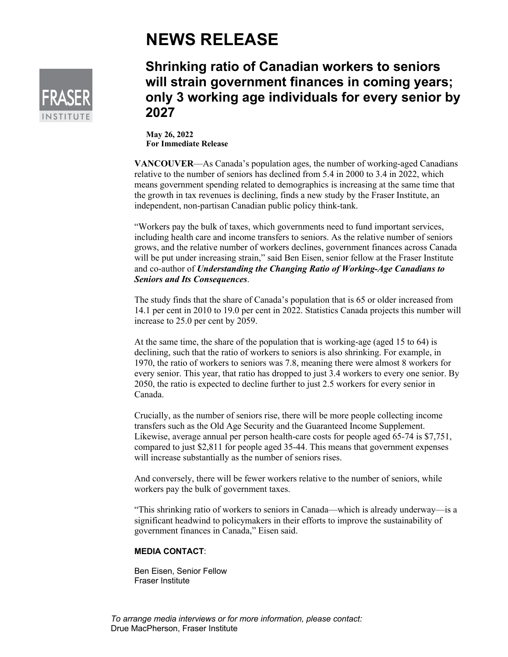## **NEWS RELEASE**



## **Shrinking ratio of Canadian workers to seniors will strain government finances in coming years; only 3 working age individuals for every senior by 2027**

**May 26, 2022 For Immediate Release**

**VANCOUVER**—As Canada's population ages, the number of working-aged Canadians relative to the number of seniors has declined from 5.4 in 2000 to 3.4 in 2022, which means government spending related to demographics is increasing at the same time that the growth in tax revenues is declining, finds a new study by the Fraser Institute, an independent, non-partisan Canadian public policy think-tank.

"Workers pay the bulk of taxes, which governments need to fund important services, including health care and income transfers to seniors. As the relative number of seniors grows, and the relative number of workers declines, government finances across Canada will be put under increasing strain," said Ben Eisen, senior fellow at the Fraser Institute and co-author of *Understanding the Changing Ratio of Working-Age Canadians to Seniors and Its Consequences*.

The study finds that the share of Canada's population that is 65 or older increased from 14.1 per cent in 2010 to 19.0 per cent in 2022. Statistics Canada projects this number will increase to 25.0 per cent by 2059.

At the same time, the share of the population that is working-age (aged 15 to 64) is declining, such that the ratio of workers to seniors is also shrinking. For example, in 1970, the ratio of workers to seniors was 7.8, meaning there were almost 8 workers for every senior. This year, that ratio has dropped to just 3.4 workers to every one senior. By 2050, the ratio is expected to decline further to just 2.5 workers for every senior in Canada.

Crucially, as the number of seniors rise, there will be more people collecting income transfers such as the Old Age Security and the Guaranteed Income Supplement. Likewise, average annual per person health-care costs for people aged 65-74 is \$7,751, compared to just \$2,811 for people aged 35-44. This means that government expenses will increase substantially as the number of seniors rises.

And conversely, there will be fewer workers relative to the number of seniors, while workers pay the bulk of government taxes.

"This shrinking ratio of workers to seniors in Canada—which is already underway—is a significant headwind to policymakers in their efforts to improve the sustainability of government finances in Canada," Eisen said.

## **MEDIA CONTACT**:

Ben Eisen, Senior Fellow Fraser Institute

*To arrange media interviews or for more information, please contact:* Drue MacPherson, Fraser Institute